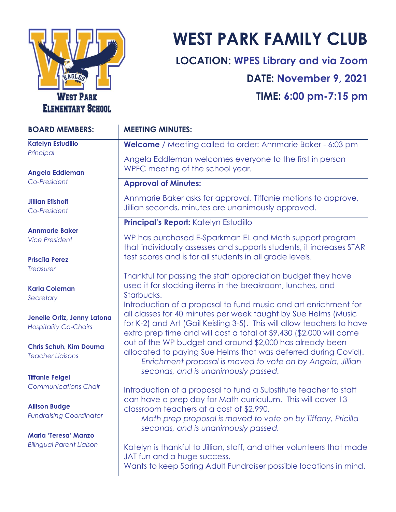

# **WEST PARK FAMILY CLUB**

**LOCATION: WPES Library and via Zoom DATE: November 9, 2021 TIME: 6:00 pm-7:15 pm**

| <b>BOARD MEMBERS:</b>                                                    | <b>MEETING MINUTES:</b>                                                                                                                                                                                         |
|--------------------------------------------------------------------------|-----------------------------------------------------------------------------------------------------------------------------------------------------------------------------------------------------------------|
| <b>Katelyn Estudillo</b><br>Principal<br>Angela Eddleman<br>Co-President | <b>Welcome</b> / Meeting called to order: Annmarie Baker - 6:03 pm                                                                                                                                              |
|                                                                          | Angela Eddleman welcomes everyone to the first in person<br>WPFC meeting of the school year.                                                                                                                    |
|                                                                          | <b>Approval of Minutes:</b>                                                                                                                                                                                     |
| <b>Jillian Efishoff</b><br>Co-President                                  | Annmarie Baker asks for approval. Tiffanie motions to approve,<br>Jillian seconds, minutes are unanimously approved.                                                                                            |
|                                                                          | Principal's Report: Katelyn Estudillo                                                                                                                                                                           |
| <b>Annmarie Baker</b><br><b>Vice President</b>                           | WP has purchased E-Sparkman EL and Math support program<br>that individually assesses and supports students, it increases STAR                                                                                  |
| <b>Priscila Perez</b><br><b>Treasurer</b>                                | test scores and is for all students in all grade levels.                                                                                                                                                        |
|                                                                          | Thankful for passing the staff appreciation budget they have                                                                                                                                                    |
| <b>Karla Coleman</b><br>Secretary                                        | used it for stocking items in the breakroom, lunches, and<br>Starbucks.<br>Introduction of a proposal to fund music and art enrichment for                                                                      |
| Jenelle Ortiz, Jenny Latona<br><b>Hospitality Co-Chairs</b>              | all classes for 40 minutes per week taught by Sue Helms (Music<br>for K-2) and Art (Gail Keisling 3-5). This will allow teachers to have<br>extra prep time and will cost a total of \$9,430 (\$2,000 will come |
| <b>Chris Schuh, Kim Douma</b><br><b>Teacher Liaisons</b>                 | out of the WP budget and around \$2,000 has already been<br>allocated to paying Sue Helms that was deferred during Covid).<br>Enrichment proposal is moved to vote on by Angela, Jillian                        |
| <b>Tiffanie Feigel</b>                                                   | seconds, and is unanimously passed.                                                                                                                                                                             |
| <b>Communications Chair</b>                                              | Introduction of a proposal to fund a Substitute teacher to staff                                                                                                                                                |
| <b>Allison Budge</b><br><b>Fundraising Coordinator</b>                   | can have a prep day for Math curriculum. This will cover 13<br>classroom teachers at a cost of \$2,990.<br>Math prep proposal is moved to vote on by Tiffany, Pricilla<br>seconds, and is unanimously passed.   |
| <b>Maria 'Teresa' Manzo</b><br><b>Bilingual Parent Liaison</b>           | Katelyn is thankful to Jillian, staff, and other volunteers that made<br>JAT fun and a huge success.<br>Wants to keep Spring Adult Fundraiser possible locations in mind.                                       |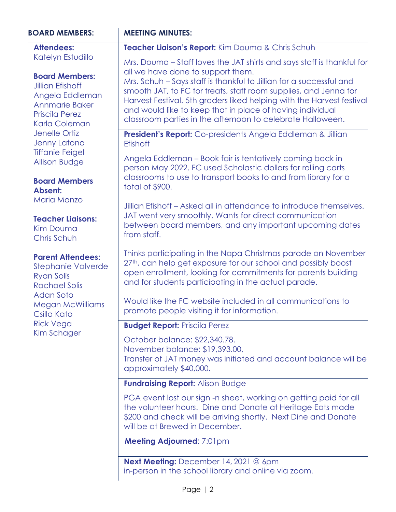| <b>BOARD MEMBERS:</b>                                                                                                                                                                                                                                                                                                                                                  | <b>MEETING MINUTES:</b>                                                                                                                                                                                                                                                                                                                                                                                                                                    |
|------------------------------------------------------------------------------------------------------------------------------------------------------------------------------------------------------------------------------------------------------------------------------------------------------------------------------------------------------------------------|------------------------------------------------------------------------------------------------------------------------------------------------------------------------------------------------------------------------------------------------------------------------------------------------------------------------------------------------------------------------------------------------------------------------------------------------------------|
| <b>Attendees:</b>                                                                                                                                                                                                                                                                                                                                                      | Teacher Liaison's Report: Kim Douma & Chris Schuh                                                                                                                                                                                                                                                                                                                                                                                                          |
| Katelyn Estudillo<br><b>Board Members:</b><br><b>Jillian Efishoff</b><br>Angela Eddleman<br>Annmarie Baker<br><b>Priscila Perez</b><br>Karla Coleman<br><b>Jenelle Ortiz</b><br><b>Jenny Latona</b><br><b>Tiffanie Feigel</b><br><b>Allison Budge</b><br><b>Board Members</b><br>Absent:<br>Maria Manzo<br><b>Teacher Liaisons:</b><br><b>Kim Douma</b><br>Chris Schuh | Mrs. Douma – Staff loves the JAT shirts and says staff is thankful for<br>all we have done to support them.<br>Mrs. Schuh - Says staff is thankful to Jillian for a successful and<br>smooth JAT, to FC for treats, staff room supplies, and Jenna for<br>Harvest Festival. 5th graders liked helping with the Harvest festival<br>and would like to keep that in place of having individual<br>classroom parties in the afternoon to celebrate Halloween. |
|                                                                                                                                                                                                                                                                                                                                                                        | President's Report: Co-presidents Angela Eddleman & Jillian<br><b>Efishoff</b>                                                                                                                                                                                                                                                                                                                                                                             |
|                                                                                                                                                                                                                                                                                                                                                                        | Angela Eddleman – Book fair is tentatively coming back in<br>person May 2022. FC used Scholastic dollars for rolling carts<br>classrooms to use to transport books to and from library for a<br>total of \$900.                                                                                                                                                                                                                                            |
|                                                                                                                                                                                                                                                                                                                                                                        | Jillian Efishoff – Asked all in attendance to introduce themselves.<br>JAT went very smoothly. Wants for direct communication<br>between board members, and any important upcoming dates<br>from staff.                                                                                                                                                                                                                                                    |
| <b>Parent Attendees:</b><br><b>Stephanie Valverde</b><br><b>Ryan Solis</b><br><b>Rachael Solis</b><br><b>Adan Soto</b><br><b>Megan McWilliams</b><br>Csilla Kato<br><b>Rick Vega</b><br>Kim Schager                                                                                                                                                                    | Thinks participating in the Napa Christmas parade on November<br>27th, can help get exposure for our school and possibly boost<br>open enrollment, looking for commitments for parents building<br>and for students participating in the actual parade.                                                                                                                                                                                                    |
|                                                                                                                                                                                                                                                                                                                                                                        | Would like the FC website included in all communications to<br>promote people visiting it for information                                                                                                                                                                                                                                                                                                                                                  |
|                                                                                                                                                                                                                                                                                                                                                                        | <b>Budget Report: Priscila Perez</b>                                                                                                                                                                                                                                                                                                                                                                                                                       |
|                                                                                                                                                                                                                                                                                                                                                                        | October balance: \$22,340.78.<br>November balance: \$19,393.00,<br>Transfer of JAT money was initiated and account balance will be<br>approximately \$40,000.                                                                                                                                                                                                                                                                                              |
|                                                                                                                                                                                                                                                                                                                                                                        | <b>Fundraising Report: Alison Budge</b>                                                                                                                                                                                                                                                                                                                                                                                                                    |
|                                                                                                                                                                                                                                                                                                                                                                        | PGA event lost our sign -n sheet, working on getting paid for all<br>the volunteer hours. Dine and Donate at Heritage Eats made<br>\$200 and check will be arriving shortly. Next Dine and Donate<br>will be at Brewed in December.                                                                                                                                                                                                                        |
|                                                                                                                                                                                                                                                                                                                                                                        | Meeting Adjourned: 7:01pm                                                                                                                                                                                                                                                                                                                                                                                                                                  |

**Next Meeting:** December 14, 2021 @ 6pm in-person in the school library and online via zoom.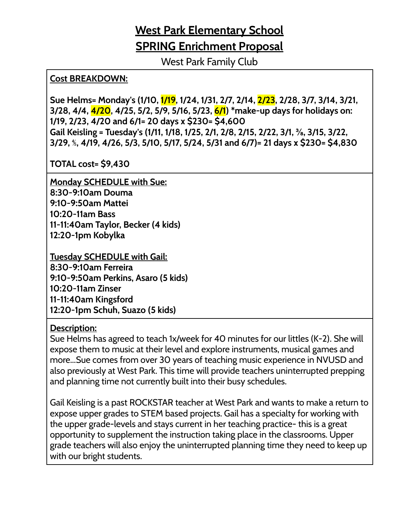## **West Park Elementary School SPRING Enrichment Proposal**

West Park Family Club

#### **Cost BREAKDOWN:**

**Sue Helms= Monday's (1/10, 1/19, 1/24, 1/31, 2/7, 2/14, 2/23, 2/28, 3/7, 3/14, 3/21, 3/28, 4/4, 4/20, 4/25, 5/2, 5/9, 5/16, 5/23, 6/1) \*make-up days for holidays on: 1/19, 2/23, 4/20 and 6/1= 20 days x \$230= \$4,600 Gail Keisling = Tuesday's (1/11, 1/18, 1/25, 2/1, 2/8, 2/15, 2/22, 3/1, ⅜, 3/15, 3/22, 3/29,** ⅘**, 4/19, 4/26, 5/3, 5/10, 5/17, 5/24, 5/31 and 6/7)= 21 days x \$230= \$4,830**

**TOTAL cost= \$9,430**

**Monday SCHEDULE with Sue: 8:30-9:10am Douma 9:10-9:50am Mattei 10:20-11am Bass 11-11:40am Taylor, Becker (4 kids) 12:20-1pm Kobylka**

**Tuesday SCHEDULE with Gail: 8:30-9:10am Ferreira 9:10-9:50am Perkins, Asaro (5 kids) 10:20-11am Zinser 11-11:40am Kingsford 12:20-1pm Schuh, Suazo (5 kids)**

#### **Description:**

Sue Helms has agreed to teach 1x/week for 40 minutes for our littles (K-2). She will expose them to music at their level and explore instruments, musical games and more...Sue comes from over 30 years of teaching music experience in NVUSD and also previously at West Park. This time will provide teachers uninterrupted prepping and planning time not currently built into their busy schedules.

Gail Keisling is a past ROCKSTAR teacher at West Park and wants to make a return to expose upper grades to STEM based projects. Gail has a specialty for working with the upper grade-levels and stays current in her teaching practice- this is a great opportunity to supplement the instruction taking place in the classrooms. Upper grade teachers will also enjoy the uninterrupted planning time they need to keep up with our bright students.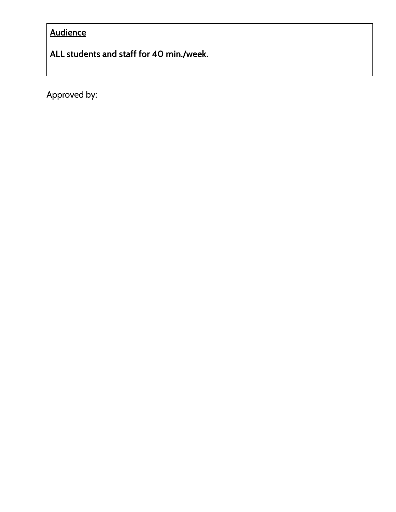### **Audience**

**ALL students and staff for 40 min./week.**

Approved by: